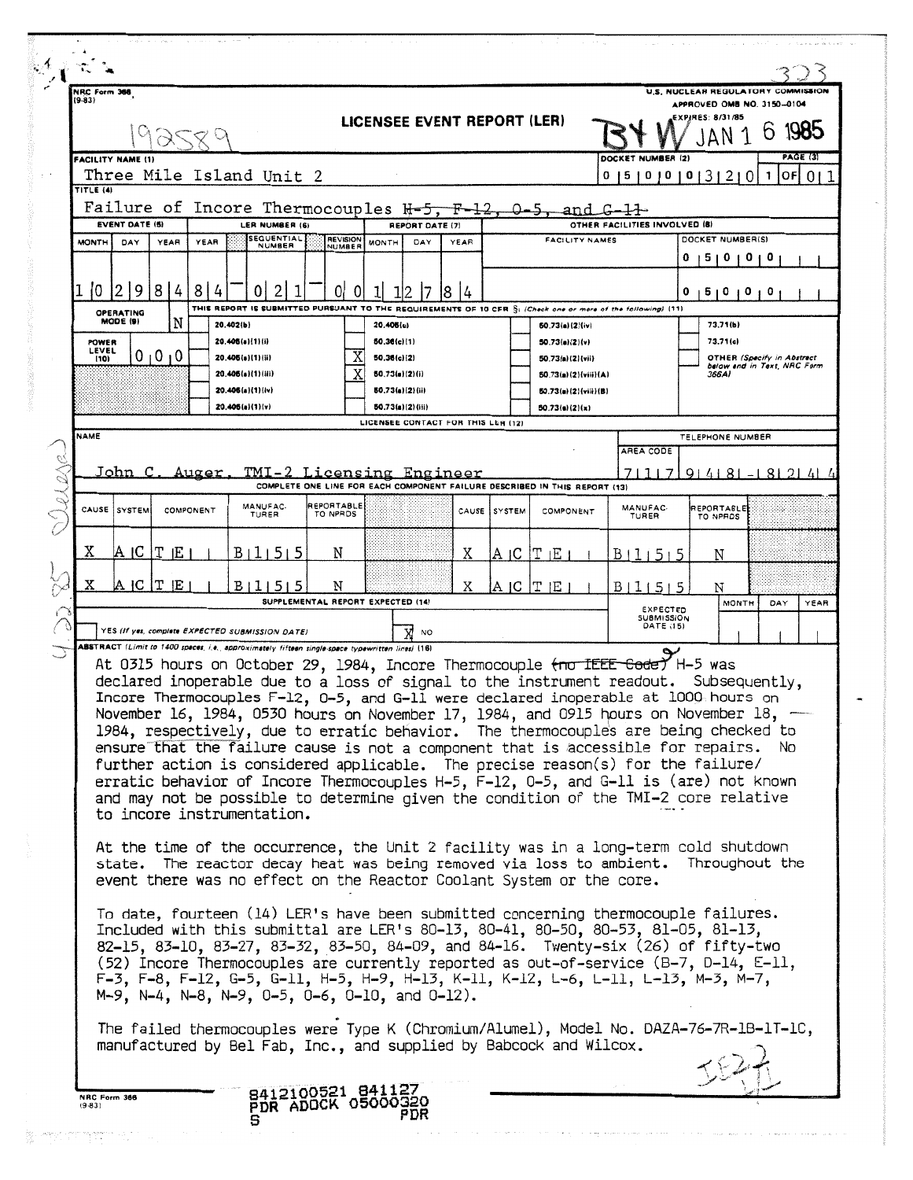| NRC Form 366<br>$(9-83)$ |                                                                                                                                                           |                                 |                                                                                                 |                        | LICENSEE EVENT REPORT (LER)                                                                                                                                                                                                                                                                                                                                                                                                                                                                                                                                                                                                                                                                                                                                                                        |      |              |                                                                                                      |                                                    | <b>APPROVED OMB NO. 3150--0104</b><br>EXPIRES: 8/31/85 | U.S. NUCLEAR REGULATORY COMMISSION                               |
|--------------------------|-----------------------------------------------------------------------------------------------------------------------------------------------------------|---------------------------------|-------------------------------------------------------------------------------------------------|------------------------|----------------------------------------------------------------------------------------------------------------------------------------------------------------------------------------------------------------------------------------------------------------------------------------------------------------------------------------------------------------------------------------------------------------------------------------------------------------------------------------------------------------------------------------------------------------------------------------------------------------------------------------------------------------------------------------------------------------------------------------------------------------------------------------------------|------|--------------|------------------------------------------------------------------------------------------------------|----------------------------------------------------|--------------------------------------------------------|------------------------------------------------------------------|
|                          | <b>FACILITY NAME (1)</b>                                                                                                                                  |                                 | Three Mile Island Unit 2                                                                        |                        |                                                                                                                                                                                                                                                                                                                                                                                                                                                                                                                                                                                                                                                                                                                                                                                                    |      |              |                                                                                                      | DOCKET NUMBER (2)<br>0   5   0   0   0   3   2   0 |                                                        | PAGE (3)<br>lorl 0   1<br>1                                      |
| TITLE (4)                |                                                                                                                                                           |                                 |                                                                                                 |                        | Failure of Incore Thermocouples $H=5$ , $F=12$                                                                                                                                                                                                                                                                                                                                                                                                                                                                                                                                                                                                                                                                                                                                                     |      |              |                                                                                                      |                                                    |                                                        |                                                                  |
|                          | <b>EVENT DATE (5)</b>                                                                                                                                     |                                 | LER NUMBER (6)                                                                                  |                        | REPORT DATE (7)                                                                                                                                                                                                                                                                                                                                                                                                                                                                                                                                                                                                                                                                                                                                                                                    |      |              | and $G-11$                                                                                           | OTHER FACILITIES INVOLVED (8)                      |                                                        |                                                                  |
| <b>MONTH</b>             | DAY                                                                                                                                                       | YEAR<br>YEAR                    | SEQUENTIAL<br>NUMBER                                                                            | REVISION<br>NUMBER     | MONTH<br>DAY                                                                                                                                                                                                                                                                                                                                                                                                                                                                                                                                                                                                                                                                                                                                                                                       | YEAR |              | <b>FACILITY NAMES</b>                                                                                |                                                    | DOCKET NUMBER(S)<br>5   0   0                          | $\mathbf{0}$                                                     |
| ١O                       | 19                                                                                                                                                        | 8<br>8<br>4                     |                                                                                                 |                        | 18                                                                                                                                                                                                                                                                                                                                                                                                                                                                                                                                                                                                                                                                                                                                                                                                 | 4    |              |                                                                                                      |                                                    | 500000                                                 |                                                                  |
|                          | <b>OPERATING</b><br>MODE (9)                                                                                                                              | N                               | 20.402(b)                                                                                       |                        | THIS REPORT IS SUBMITTED PURSUANT TO THE REQUIREMENTS OF 10 CFR $\S:$ (Check one or more of the following) (11)<br>20.406(c)                                                                                                                                                                                                                                                                                                                                                                                                                                                                                                                                                                                                                                                                       |      |              | 50.73(a)(2)(iv)                                                                                      |                                                    | 73.71(b)                                               |                                                                  |
| POWER<br>LEVEL<br>(10)   |                                                                                                                                                           | 0 <sub>1</sub> 0 <sub>1</sub> 0 | 20.406(x)(1)(i)<br>20.405(a)(1)(ii)<br>20.405(a)(1)(iii)<br>20.406(a)(1)(iv)<br>20.406(a)(1)(v) | Χ                      | 50.36(c)(1)<br>50.36(c)(2)<br>50.73(a)(2)(i)<br>50.73(a)(2)(ii)<br>50.73(a)(2)(iii)                                                                                                                                                                                                                                                                                                                                                                                                                                                                                                                                                                                                                                                                                                                |      |              | 50.73(a)(2)(v)<br>50.73(a)(2)(vii)<br>50.73(a)(2)(viii)(A)<br>50.73(a)(2)(viii)(B)<br>50.73(a)(2)(x) |                                                    | 73.71(c)<br>366AI                                      | <b>OTHER (Specify in Abstract</b><br>below and in Text, NRC Form |
| <b>NAME</b>              |                                                                                                                                                           |                                 |                                                                                                 |                        | LICENSEE CONTACT FOR THIS LER (12)                                                                                                                                                                                                                                                                                                                                                                                                                                                                                                                                                                                                                                                                                                                                                                 |      |              |                                                                                                      |                                                    | TELEPHONE NUMBER                                       |                                                                  |
|                          | John C                                                                                                                                                    | Auger.                          |                                                                                                 |                        | TMI-2 Licensing Engineer<br>COMPLETE ONE LINE FOR EACH COMPONENT FAILURE DESCRIBED IN THIS REPORT (13)                                                                                                                                                                                                                                                                                                                                                                                                                                                                                                                                                                                                                                                                                             |      |              |                                                                                                      | AREA CODE<br><b>TI</b>                             |                                                        | 914181-18121414                                                  |
| ILIA<br>CAUSE            | i system                                                                                                                                                  | COMPONENT                       | MANUFAC-<br>TURER                                                                               | REPORTABLE<br>TO NPRDS |                                                                                                                                                                                                                                                                                                                                                                                                                                                                                                                                                                                                                                                                                                                                                                                                    |      | CAUSE SYSTEM | COMPONENT                                                                                            | MANUFAC-<br>TURER                                  | REPORTABLE<br>TO NPROS                                 |                                                                  |
| Χ                        | IA IC IT IE                                                                                                                                               |                                 | B111515                                                                                         | N                      |                                                                                                                                                                                                                                                                                                                                                                                                                                                                                                                                                                                                                                                                                                                                                                                                    | Χ    | A IC.        | 1E                                                                                                   | B I L                                              | N                                                      |                                                                  |
| x                        | A IC.                                                                                                                                                     | IT.<br>ΙE                       | B11151<br>5                                                                                     | N                      | SUPPLEMENTAL REPORT EXPECTED (14)                                                                                                                                                                                                                                                                                                                                                                                                                                                                                                                                                                                                                                                                                                                                                                  | Χ    | ACTE         |                                                                                                      | B I 1<br>515                                       | Ν<br>MONTH                                             | DAY<br>YEAR                                                      |
|                          | YES (If yes, complete EXPECTED SUBMISSION DATE)<br>NO<br>ABSTRACT (Limit to 1400 spaces, i.e., approximately fifteen single-space typewritten lines) (16) |                                 |                                                                                                 |                        |                                                                                                                                                                                                                                                                                                                                                                                                                                                                                                                                                                                                                                                                                                                                                                                                    |      |              |                                                                                                      | EXPECTED<br><b>SUBMISSION</b><br>DATE (15)         |                                                        |                                                                  |
|                          |                                                                                                                                                           |                                 | to incore instrumentation.                                                                      |                        | At 0315 hours on October 29, 1984, Incore Thermocouple (no IEEE Gode) H-5 was<br>declared inoperable due to a loss of signal to the instrument readout. Subsequently,<br>Incore Thermocouples F-12, 0-5, and G-11 were declared inoperable at 1000 hours on<br>November 16, 1984, 0530 hours on November 17, 1984, and 0915 hours on November 18, $-$<br>1984, respectively, due to erratic behavior. The thermocouples are being checked to<br>ensure that the failure cause is not a component that is accessible for repairs.<br>further action is considered applicable. The precise reason(s) for the failure/<br>erratic behavior of Incore Thermocouples H-5, F-12, 0-5, and G-11 is (are) not known<br>and may not be possible to determine given the condition of the TMI-2 core relative |      |              |                                                                                                      |                                                    |                                                        | No.                                                              |
|                          |                                                                                                                                                           |                                 |                                                                                                 |                        | At the time of the occurrence, the Unit 2 facility was in a long-term cold shutdown<br>state. The reactor decay heat was being removed via loss to ambient. Throughout the<br>event there was no effect on the Reactor Coolant System or the core.                                                                                                                                                                                                                                                                                                                                                                                                                                                                                                                                                 |      |              |                                                                                                      |                                                    |                                                        |                                                                  |
|                          |                                                                                                                                                           |                                 |                                                                                                 |                        | To date, fourteen (14) LER's have been submitted concerning thermocouple failures.<br>Included with this submittal are LER's 80-13, 80-41, 80-50, 80-53, 81-05, 81-13,<br>82-15, 83-10, 83-27, 83-32, 83-50, 84-09, and 84-16. Twenty-six (26) of fifty-two<br>(52) Incore Thermocouples are currently reported as out-of-service (B-7, D-14, E-11,                                                                                                                                                                                                                                                                                                                                                                                                                                                |      |              |                                                                                                      |                                                    |                                                        |                                                                  |
|                          |                                                                                                                                                           |                                 | F-3, F-8, F-12, G-5, G-11, H-5, H-9, H-13, K-11, K-12, L-6, L-11, L-13, M-3, M-7,               |                        | M-9, N-4, N-8, N-9, 0-5, 0-6, 0-10, and 0-12).                                                                                                                                                                                                                                                                                                                                                                                                                                                                                                                                                                                                                                                                                                                                                     |      |              |                                                                                                      |                                                    |                                                        |                                                                  |
|                          |                                                                                                                                                           |                                 |                                                                                                 |                        | The failed thermocouples were Type K (Chromium/Alumel), Model No. DAZA-76-7R-1B-1T-1C,<br>manufactured by Bel Fab, Inc., and supplied by Babcock and Wilcox.                                                                                                                                                                                                                                                                                                                                                                                                                                                                                                                                                                                                                                       |      |              |                                                                                                      |                                                    |                                                        |                                                                  |